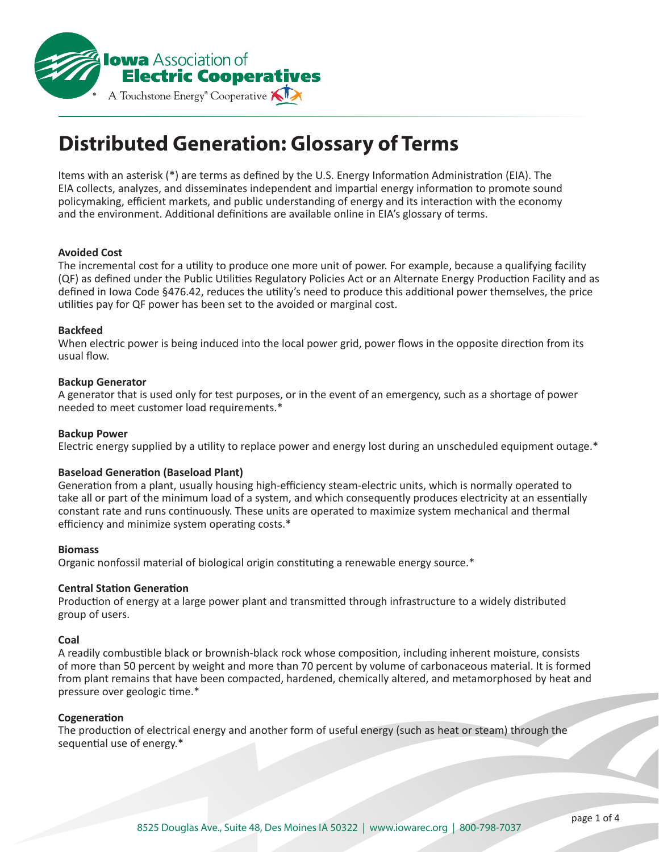

# **Distributed Generation: Glossary of Terms**

Items with an asterisk (\*) are terms as defined by the U.S. Energy Information Administration (EIA). The EIA collects, analyzes, and disseminates independent and impartial energy information to promote sound policymaking, efficient markets, and public understanding of energy and its interaction with the economy and the environment. Additional definitions are available online in EIA's glossary of terms.

## **Avoided Cost**

The incremental cost for a utility to produce one more unit of power. For example, because a qualifying facility (QF) as defined under the Public Utilities Regulatory Policies Act or an Alternate Energy Production Facility and as defined in Iowa Code §476.42, reduces the utility's need to produce this additional power themselves, the price utilities pay for QF power has been set to the avoided or marginal cost.

## **Backfeed**

When electric power is being induced into the local power grid, power flows in the opposite direction from its usual flow.

## **Backup Generator**

A generator that is used only for test purposes, or in the event of an emergency, such as a shortage of power needed to meet customer load requirements.\*

# **Backup Power**

Electric energy supplied by a utility to replace power and energy lost during an unscheduled equipment outage.\*

# **Baseload Generation (Baseload Plant)**

Generation from a plant, usually housing high-efficiency steam-electric units, which is normally operated to take all or part of the minimum load of a system, and which consequently produces electricity at an essentially constant rate and runs continuously. These units are operated to maximize system mechanical and thermal efficiency and minimize system operating costs.\*

### **Biomass**

Organic nonfossil material of biological origin constituting a renewable energy source.\*

# **Central Station Generation**

Production of energy at a large power plant and transmitted through infrastructure to a widely distributed group of users.

### **Coal**

A readily combustible black or brownish-black rock whose composition, including inherent moisture, consists of more than 50 percent by weight and more than 70 percent by volume of carbonaceous material. It is formed from plant remains that have been compacted, hardened, chemically altered, and metamorphosed by heat and pressure over geologic time.\*

### **Cogeneration**

The production of electrical energy and another form of useful energy (such as heat or steam) through the sequential use of energy.\*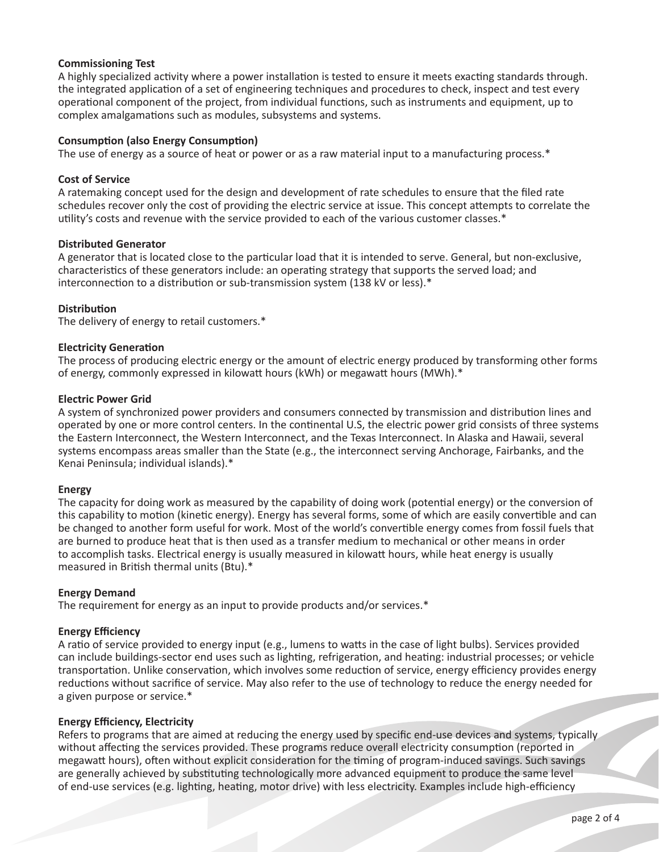# **Commissioning Test**

A highly specialized activity where a power installation is tested to ensure it meets exacting standards through. the integrated application of a set of engineering techniques and procedures to check, inspect and test every operational component of the project, from individual functions, such as instruments and equipment, up to complex amalgamations such as modules, subsystems and systems.

# **Consumption (also Energy Consumption)**

The use of energy as a source of heat or power or as a raw material input to a manufacturing process.\*

# **Cost of Service**

A ratemaking concept used for the design and development of rate schedules to ensure that the filed rate schedules recover only the cost of providing the electric service at issue. This concept attempts to correlate the utility's costs and revenue with the service provided to each of the various customer classes.\*

# **Distributed Generator**

A generator that is located close to the particular load that it is intended to serve. General, but non-exclusive, characteristics of these generators include: an operating strategy that supports the served load; and interconnection to a distribution or sub-transmission system (138 kV or less).\*

# **Distribution**

The delivery of energy to retail customers.\*

# **Electricity Generation**

The process of producing electric energy or the amount of electric energy produced by transforming other forms of energy, commonly expressed in kilowatt hours (kWh) or megawatt hours (MWh).\*

# **Electric Power Grid**

A system of synchronized power providers and consumers connected by transmission and distribution lines and operated by one or more control centers. In the continental U.S, the electric power grid consists of three systems the Eastern Interconnect, the Western Interconnect, and the Texas Interconnect. In Alaska and Hawaii, several systems encompass areas smaller than the State (e.g., the interconnect serving Anchorage, Fairbanks, and the Kenai Peninsula; individual islands).\*

# **Energy**

The capacity for doing work as measured by the capability of doing work (potential energy) or the conversion of this capability to motion (kinetic energy). Energy has several forms, some of which are easily convertible and can be changed to another form useful for work. Most of the world's convertible energy comes from fossil fuels that are burned to produce heat that is then used as a transfer medium to mechanical or other means in order to accomplish tasks. Electrical energy is usually measured in kilowatt hours, while heat energy is usually measured in British thermal units (Btu).\*

# **Energy Demand**

The requirement for energy as an input to provide products and/or services.\*

# **Energy Efficiency**

A ratio of service provided to energy input (e.g., lumens to watts in the case of light bulbs). Services provided can include buildings-sector end uses such as lighting, refrigeration, and heating: industrial processes; or vehicle transportation. Unlike conservation, which involves some reduction of service, energy efficiency provides energy reductions without sacrifice of service. May also refer to the use of technology to reduce the energy needed for a given purpose or service.\*

# **Energy Efficiency, Electricity**

Refers to programs that are aimed at reducing the energy used by specific end-use devices and systems, typically without affecting the services provided. These programs reduce overall electricity consumption (reported in megawatt hours), often without explicit consideration for the timing of program-induced savings. Such savings are generally achieved by substituting technologically more advanced equipment to produce the same level of end-use services (e.g. lighting, heating, motor drive) with less electricity. Examples include high-efficiency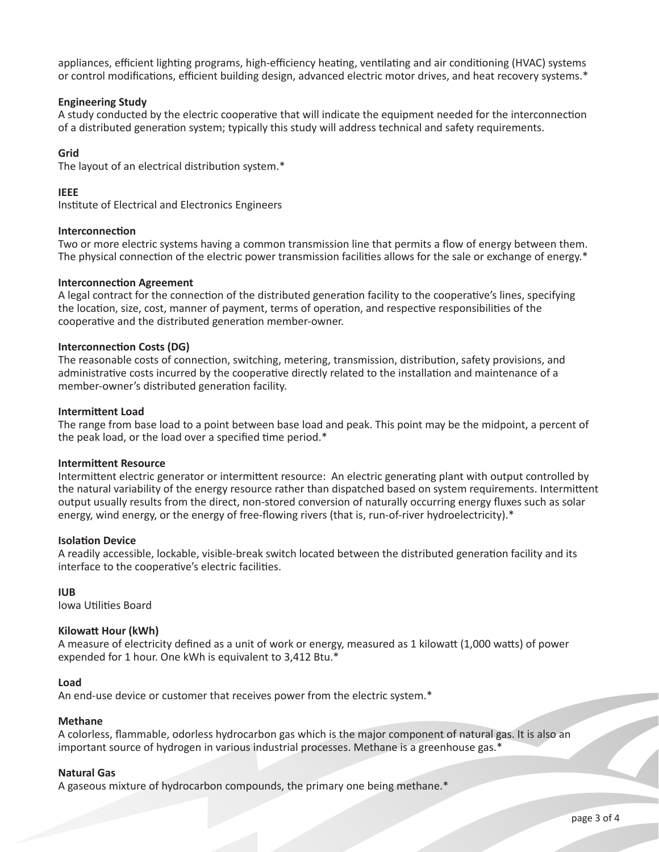appliances, efficient lighting programs, high-efficiency heating, ventilating and air conditioning (HVAC) systems or control modifications, efficient building design, advanced electric motor drives, and heat recovery systems.\*

# **Engineering Study**

A study conducted by the electric cooperative that will indicate the equipment needed for the interconnection of a distributed generation system; typically this study will address technical and safety requirements.

# **Grid**

The layout of an electrical distribution system.\*

# **IEEE**

Institute of Electrical and Electronics Engineers

# **Interconnection**

Two or more electric systems having a common transmission line that permits a flow of energy between them. The physical connection of the electric power transmission facilities allows for the sale or exchange of energy.\*

# **Interconnection Agreement**

A legal contract for the connection of the distributed generation facility to the cooperative's lines, specifying the location, size, cost, manner of payment, terms of operation, and respective responsibilities of the cooperative and the distributed generation member-owner.

# **Interconnection Costs (DG)**

The reasonable costs of connection, switching, metering, transmission, distribution, safety provisions, and administrative costs incurred by the cooperative directly related to the installation and maintenance of a member-owner's distributed generation facility.

# **Intermittent Load**

The range from base load to a point between base load and peak. This point may be the midpoint, a percent of the peak load, or the load over a specified time period.\*

# **Intermittent Resource**

Intermittent electric generator or intermittent resource: An electric generating plant with output controlled by the natural variability of the energy resource rather than dispatched based on system requirements. Intermittent output usually results from the direct, non-stored conversion of naturally occurring energy fluxes such as solar energy, wind energy, or the energy of free-flowing rivers (that is, run-of-river hydroelectricity).\*

# **Isolation Device**

A readily accessible, lockable, visible-break switch located between the distributed generation facility and its interface to the cooperative's electric facilities.

# **IUB**

Iowa Utilities Board

# **Kilowatt Hour (kWh)**

A measure of electricity defined as a unit of work or energy, measured as 1 kilowatt (1,000 watts) of power expended for 1 hour. One kWh is equivalent to 3,412 Btu.\*

# **Load**

An end-use device or customer that receives power from the electric system.\*

# **Methane**

A colorless, flammable, odorless hydrocarbon gas which is the major component of natural gas. It is also an important source of hydrogen in various industrial processes. Methane is a greenhouse gas.\*

# **Natural Gas**

A gaseous mixture of hydrocarbon compounds, the primary one being methane.\*